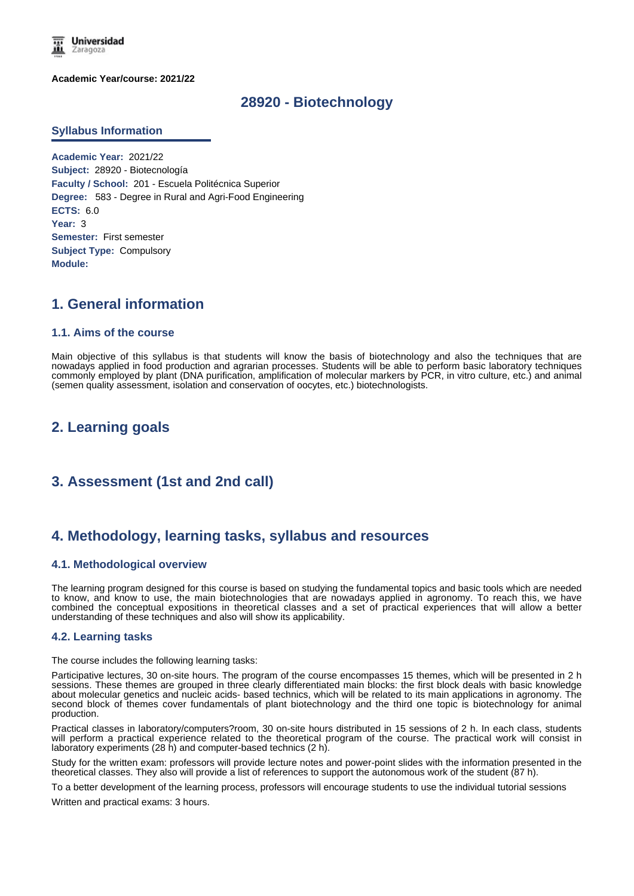

**Academic Year/course: 2021/22**

# **28920 - Biotechnology**

### **Syllabus Information**

**Academic Year:** 2021/22 **Subject:** 28920 - Biotecnología **Faculty / School:** 201 - Escuela Politécnica Superior **Degree:** 583 - Degree in Rural and Agri-Food Engineering **ECTS:** 6.0 **Year:** 3 **Semester:** First semester **Subject Type:** Compulsory **Module:**

# **1. General information**

## **1.1. Aims of the course**

Main objective of this syllabus is that students will know the basis of biotechnology and also the techniques that are nowadays applied in food production and agrarian processes. Students will be able to perform basic laboratory techniques commonly employed by plant (DNA purification, amplification of molecular markers by PCR, in vitro culture, etc.) and animal (semen quality assessment, isolation and conservation of oocytes, etc.) biotechnologists.

# **2. Learning goals**

# **3. Assessment (1st and 2nd call)**

## **4. Methodology, learning tasks, syllabus and resources**

## **4.1. Methodological overview**

The learning program designed for this course is based on studying the fundamental topics and basic tools which are needed to know, and know to use, the main biotechnologies that are nowadays applied in agronomy. To reach this, we have combined the conceptual expositions in theoretical classes and a set of practical experiences that will allow a better understanding of these techniques and also will show its applicability.

### **4.2. Learning tasks**

The course includes the following learning tasks:

Participative lectures, 30 on-site hours. The program of the course encompasses 15 themes, which will be presented in 2 h sessions. These themes are grouped in three clearly differentiated main blocks: the first block deals with basic knowledge about molecular genetics and nucleic acids- based technics, which will be related to its main applications in agronomy. The second block of themes cover fundamentals of plant biotechnology and the third one topic is biotechnology for animal production.

Practical classes in laboratory/computers?room, 30 on-site hours distributed in 15 sessions of 2 h. In each class, students will perform a practical experience related to the theoretical program of the course. The practical work will consist in laboratory experiments (28 h) and computer-based technics (2 h).

Study for the written exam: professors will provide lecture notes and power-point slides with the information presented in the theoretical classes. They also will provide a list of references to support the autonomous work of the student (87 h).

To a better development of the learning process, professors will encourage students to use the individual tutorial sessions

Written and practical exams: 3 hours.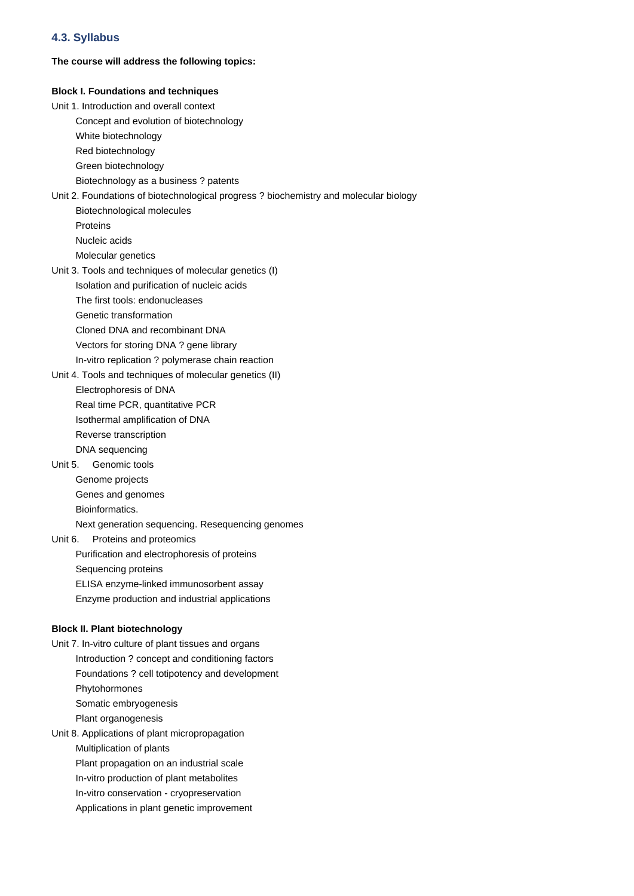## **4.3. Syllabus**

### **The course will address the following topics:**

# **Block I. Foundations and techniques** Unit 1. Introduction and overall context Concept and evolution of biotechnology White biotechnology Red biotechnology Green biotechnology Biotechnology as a business ? patents Unit 2. Foundations of biotechnological progress ? biochemistry and molecular biology Biotechnological molecules Proteins Nucleic acids Molecular genetics Unit 3. Tools and techniques of molecular genetics (I) Isolation and purification of nucleic acids The first tools: endonucleases Genetic transformation Cloned DNA and recombinant DNA Vectors for storing DNA ? gene library In-vitro replication ? polymerase chain reaction Unit 4. Tools and techniques of molecular genetics (II) Electrophoresis of DNA Real time PCR, quantitative PCR Isothermal amplification of DNA Reverse transcription DNA sequencing Unit 5. Genomic tools Genome projects Genes and genomes Bioinformatics. Next generation sequencing. Resequencing genomes Unit 6. Proteins and proteomics Purification and electrophoresis of proteins Sequencing proteins ELISA enzyme-linked immunosorbent assay Enzyme production and industrial applications **Block II. Plant biotechnology** Unit 7. In-vitro culture of plant tissues and organs Introduction ? concept and conditioning factors Foundations ? cell totipotency and development Phytohormones Somatic embryogenesis Plant organogenesis Unit 8. Applications of plant micropropagation Multiplication of plants Plant propagation on an industrial scale In-vitro production of plant metabolites In-vitro conservation - cryopreservation Applications in plant genetic improvement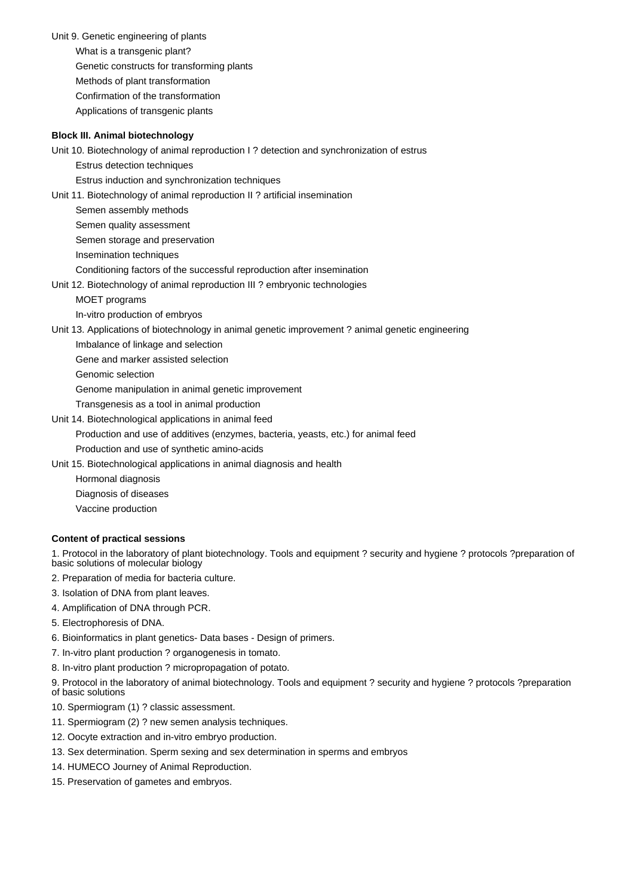Unit 9. Genetic engineering of plants What is a transgenic plant? Genetic constructs for transforming plants Methods of plant transformation Confirmation of the transformation Applications of transgenic plants

#### **Block III. Animal biotechnology**

Unit 10. Biotechnology of animal reproduction I ? detection and synchronization of estrus

Estrus detection techniques

Estrus induction and synchronization techniques

Unit 11. Biotechnology of animal reproduction II ? artificial insemination

Semen assembly methods

Semen quality assessment

Semen storage and preservation

Insemination techniques

Conditioning factors of the successful reproduction after insemination

Unit 12. Biotechnology of animal reproduction III ? embryonic technologies

MOET programs

In-vitro production of embryos

Unit 13. Applications of biotechnology in animal genetic improvement ? animal genetic engineering

Imbalance of linkage and selection

Gene and marker assisted selection

Genomic selection

Genome manipulation in animal genetic improvement

Transgenesis as a tool in animal production

Unit 14. Biotechnological applications in animal feed

Production and use of additives (enzymes, bacteria, yeasts, etc.) for animal feed

Production and use of synthetic amino-acids

- Unit 15. Biotechnological applications in animal diagnosis and health
- Hormonal diagnosis Diagnosis of diseases

Vaccine production

### **Content of practical sessions**

1. Protocol in the laboratory of plant biotechnology. Tools and equipment ? security and hygiene ? protocols ?preparation of basic solutions of molecular biology

- 2. Preparation of media for bacteria culture.
- 3. Isolation of DNA from plant leaves.
- 4. Amplification of DNA through PCR.
- 5. Electrophoresis of DNA.
- 6. Bioinformatics in plant genetics- Data bases Design of primers.
- 7. In-vitro plant production ? organogenesis in tomato.
- 8. In-vitro plant production ? micropropagation of potato.

9. Protocol in the laboratory of animal biotechnology. Tools and equipment ? security and hygiene ? protocols ?preparation of basic solutions

- 10. Spermiogram (1) ? classic assessment.
- 11. Spermiogram (2) ? new semen analysis techniques.
- 12. Oocyte extraction and in-vitro embryo production.
- 13. Sex determination. Sperm sexing and sex determination in sperms and embryos
- 14. HUMECO Journey of Animal Reproduction.
- 15. Preservation of gametes and embryos.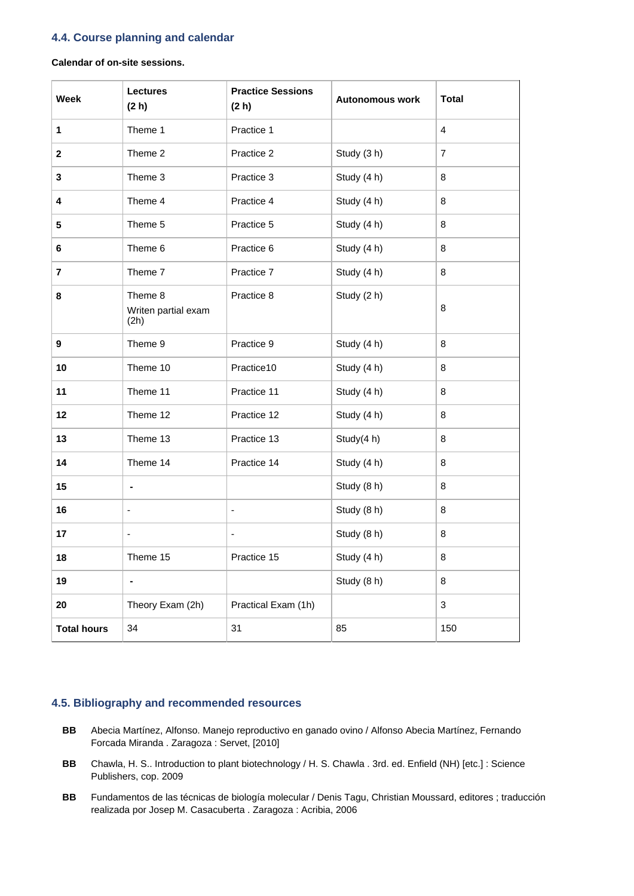## **4.4. Course planning and calendar**

### **Calendar of on-site sessions.**

| <b>Week</b>        | <b>Lectures</b><br>(2 h)               | <b>Practice Sessions</b><br>(2 h) | <b>Autonomous work</b> | <b>Total</b>   |
|--------------------|----------------------------------------|-----------------------------------|------------------------|----------------|
| $\mathbf{1}$       | Theme 1                                | Practice 1                        |                        | $\overline{4}$ |
| $\mathbf 2$        | Theme 2                                | Practice 2                        | Study (3 h)            | $\overline{7}$ |
| 3                  | Theme 3                                | Practice 3                        | Study (4 h)            | 8              |
| 4                  | Theme 4                                | Practice 4                        | Study (4 h)            | 8              |
| 5                  | Theme 5                                | Practice 5                        | Study (4 h)            | 8              |
| 6                  | Theme 6                                | Practice 6                        | Study (4 h)            | 8              |
| 7                  | Theme 7                                | Practice 7                        | Study (4 h)            | 8              |
| 8                  | Theme 8<br>Writen partial exam<br>(2h) | Practice 8                        | Study (2 h)            | 8              |
| 9                  | Theme 9                                | Practice 9                        | Study (4 h)            | 8              |
| 10                 | Theme 10                               | Practice10                        | Study (4 h)            | 8              |
| 11                 | Theme 11                               | Practice 11                       | Study (4 h)            | 8              |
| 12                 | Theme 12                               | Practice 12                       | Study (4 h)            | 8              |
| 13                 | Theme 13                               | Practice 13                       | Study(4 h)             | 8              |
| 14                 | Theme 14                               | Practice 14                       | Study (4 h)            | 8              |
| 15                 | $\blacksquare$                         |                                   | Study (8 h)            | 8              |
| 16                 | $\qquad \qquad \blacksquare$           | -                                 | Study (8 h)            | 8              |
| 17                 | $\overline{\phantom{a}}$               |                                   | Study (8 h)            | 8              |
| 18                 | Theme 15                               | Practice 15                       | Study (4 h)            | 8              |
| 19                 | ÷,                                     |                                   | Study (8 h)            | 8              |
| 20                 | Theory Exam (2h)                       | Practical Exam (1h)               |                        | 3              |
| <b>Total hours</b> | 34                                     | 31                                | 85                     | 150            |

## **4.5. Bibliography and recommended resources**

- **BB** Abecia Martínez, Alfonso. Manejo reproductivo en ganado ovino / Alfonso Abecia Martínez, Fernando Forcada Miranda . Zaragoza : Servet, [2010]
- **BB** Chawla, H. S.. Introduction to plant biotechnology / H. S. Chawla . 3rd. ed. Enfield (NH) [etc.] : Science Publishers, cop. 2009
- **BB** Fundamentos de las técnicas de biología molecular / Denis Tagu, Christian Moussard, editores ; traducción realizada por Josep M. Casacuberta . Zaragoza : Acribia, 2006